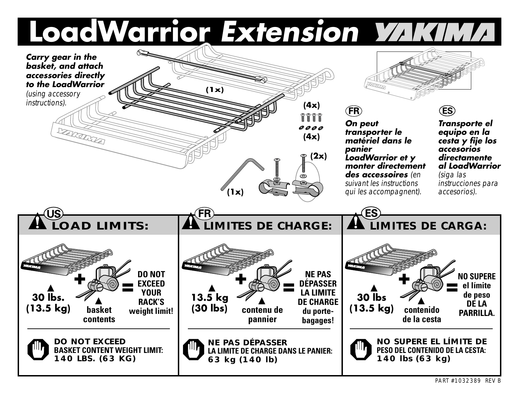# Load Warrior Extension Wikthich

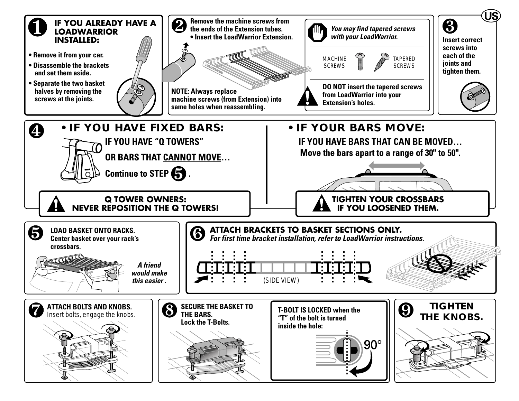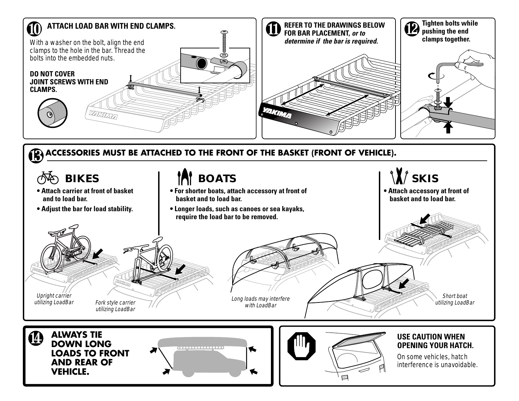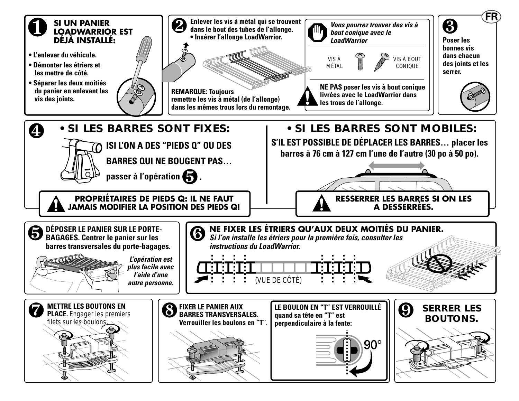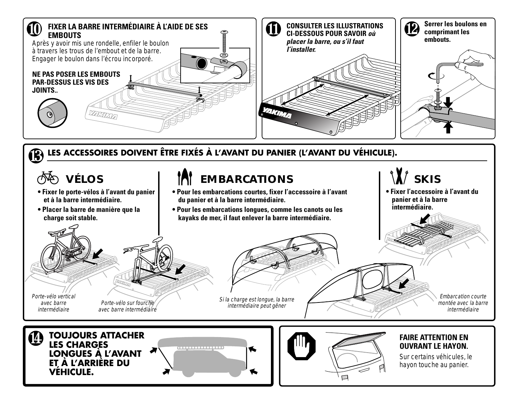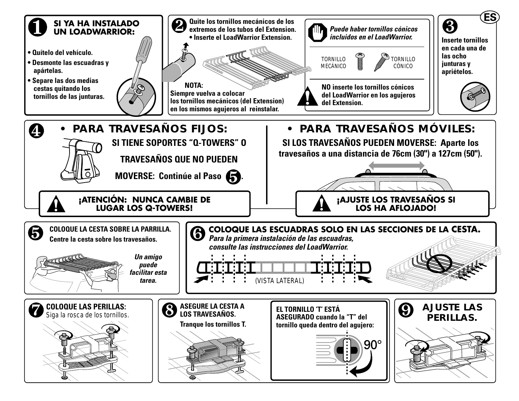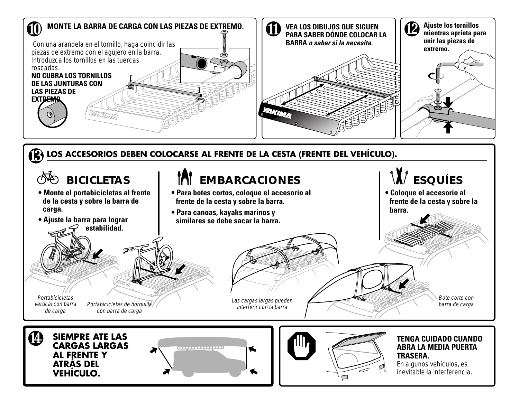